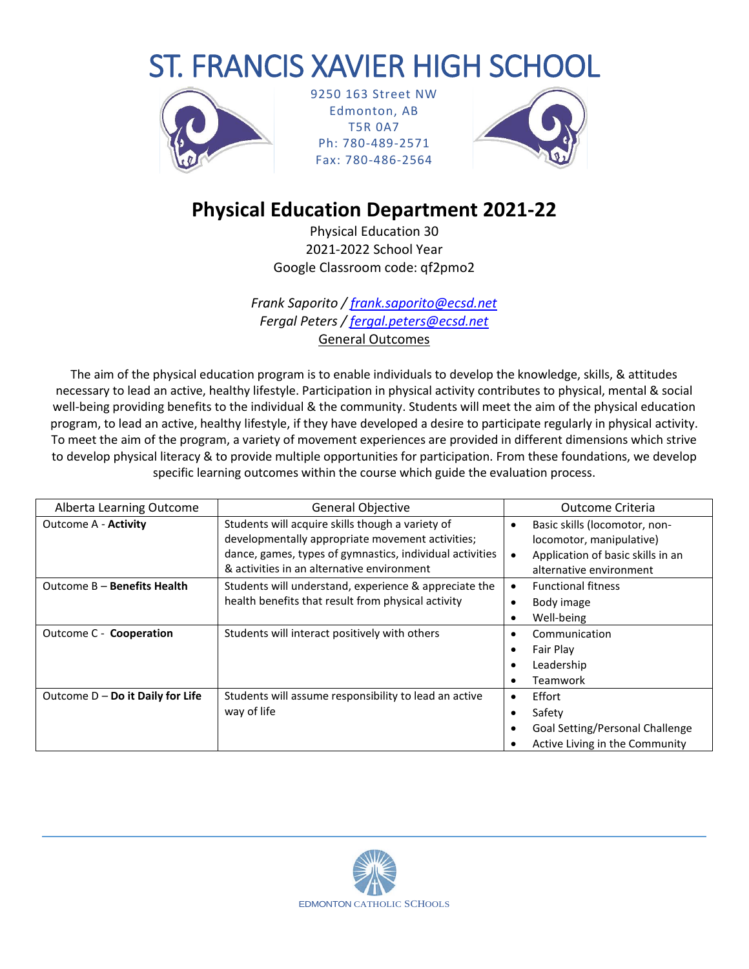# ST. FRANCIS XAVIER HIGH SCHOOL



9250 163 Street NW Edmonton, AB T5R 0A7 Ph: 780-489-2571 Fax: 780-486-2564



## **Physical Education Department 2021-22**

Physical Education 30 2021-2022 School Year Google Classroom code: qf2pmo2

*Frank Saporito / [frank.saporito@ecsd.net](mailto:frank.saporito@ecsd.net) Fergal Peters / [fergal.peters@ecsd.net](mailto:fergal.peters@ecsd.net)* General Outcomes

The aim of the physical education program is to enable individuals to develop the knowledge, skills, & attitudes necessary to lead an active, healthy lifestyle. Participation in physical activity contributes to physical, mental & social well-being providing benefits to the individual & the community. Students will meet the aim of the physical education program, to lead an active, healthy lifestyle, if they have developed a desire to participate regularly in physical activity. To meet the aim of the program, a variety of movement experiences are provided in different dimensions which strive to develop physical literacy & to provide multiple opportunities for participation. From these foundations, we develop specific learning outcomes within the course which guide the evaluation process.

| Alberta Learning Outcome           | <b>General Objective</b>                                 |   | Outcome Criteria                  |  |
|------------------------------------|----------------------------------------------------------|---|-----------------------------------|--|
| <b>Outcome A - Activity</b>        | Students will acquire skills though a variety of         | ٠ | Basic skills (locomotor, non-     |  |
|                                    | developmentally appropriate movement activities;         |   | locomotor, manipulative)          |  |
|                                    | dance, games, types of gymnastics, individual activities |   | Application of basic skills in an |  |
|                                    | & activities in an alternative environment               |   | alternative environment           |  |
| Outcome B - Benefits Health        | Students will understand, experience & appreciate the    |   | <b>Functional fitness</b>         |  |
|                                    | health benefits that result from physical activity       |   | Body image                        |  |
|                                    |                                                          |   | Well-being                        |  |
| Outcome C - Cooperation            | Students will interact positively with others            | ٠ | Communication                     |  |
|                                    |                                                          |   | Fair Play                         |  |
|                                    |                                                          |   | Leadership                        |  |
|                                    |                                                          |   | Teamwork                          |  |
| Outcome $D - Do$ it Daily for Life | Students will assume responsibility to lead an active    | ٠ | Effort                            |  |
|                                    | way of life                                              |   | Safety                            |  |
|                                    |                                                          |   | Goal Setting/Personal Challenge   |  |
|                                    |                                                          |   | Active Living in the Community    |  |